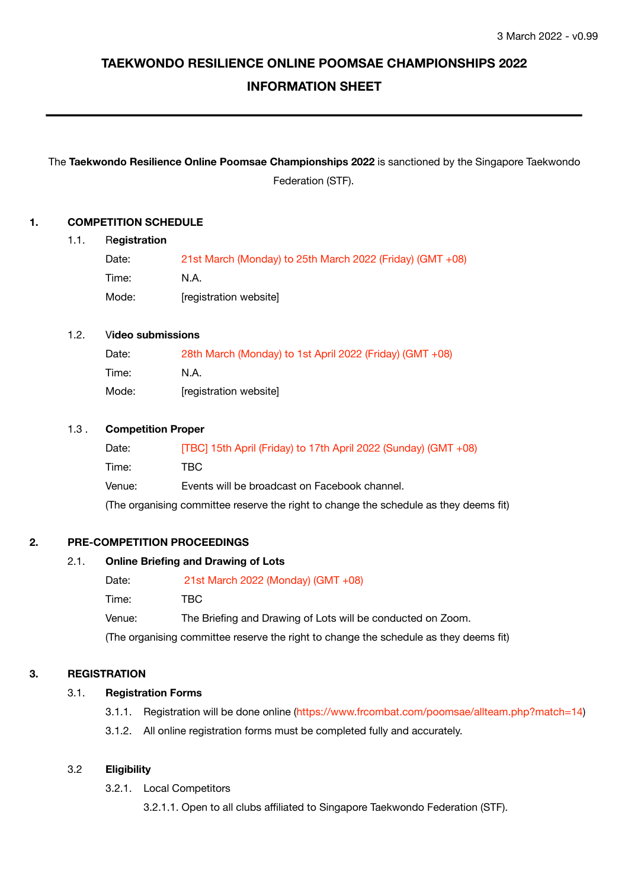# **TAEKWONDO RESILIENCE ONLINE POOMSAE CHAMPIONSHIPS 2022 INFORMATION SHEET**

# The **Taekwondo Resilience Online Poomsae Championships 2022** is sanctioned by the Singapore Taekwondo Federation (STF).

## **1. COMPETITION SCHEDULE**

#### 1.1. R**egistration**

| Date: | 21st March (Monday) to 25th March 2022 (Friday) (GMT +08) |
|-------|-----------------------------------------------------------|
| Time: | N.A.                                                      |
| Mode: | [registration website]                                    |

## 1.2. V**ideo submissions**

| Date: | 28th March (Monday) to 1st April 2022 (Friday) (GMT +08) |
|-------|----------------------------------------------------------|
| Time: | N.A.                                                     |
| Mode: | [registration website]                                   |

## 1.3 . **Competition Proper**

| Date:  | [TBC] 15th April (Friday) to 17th April 2022 (Sunday) (GMT +08)                       |
|--------|---------------------------------------------------------------------------------------|
| Time:  | TBC.                                                                                  |
| Venue: | Events will be broadcast on Facebook channel.                                         |
|        | (The organising committee reserve the right to change the schedule as they deems fit) |

## **2. PRE-COMPETITION PROCEEDINGS**

## 2.1. **Online Briefing and Drawing of Lots**

| Date:  | 21st March 2022 (Monday) (GMT $+08$ )                                                 |
|--------|---------------------------------------------------------------------------------------|
| Time:  | TBC.                                                                                  |
| Venue: | The Briefing and Drawing of Lots will be conducted on Zoom.                           |
|        | (The organising committee reserve the right to change the schedule as they deems fit) |

## **3. REGISTRATION**

## 3.1. **Registration Forms**

- 3.1.1. Registration will be done online (https://www.frcombat.com/poomsae/allteam.php?match=14)
- 3.1.2. All online registration forms must be completed fully and accurately.

## 3.2 **Eligibility**

- 3.2.1. Local Competitors
	- 3.2.1.1. Open to all clubs affiliated to Singapore Taekwondo Federation (STF).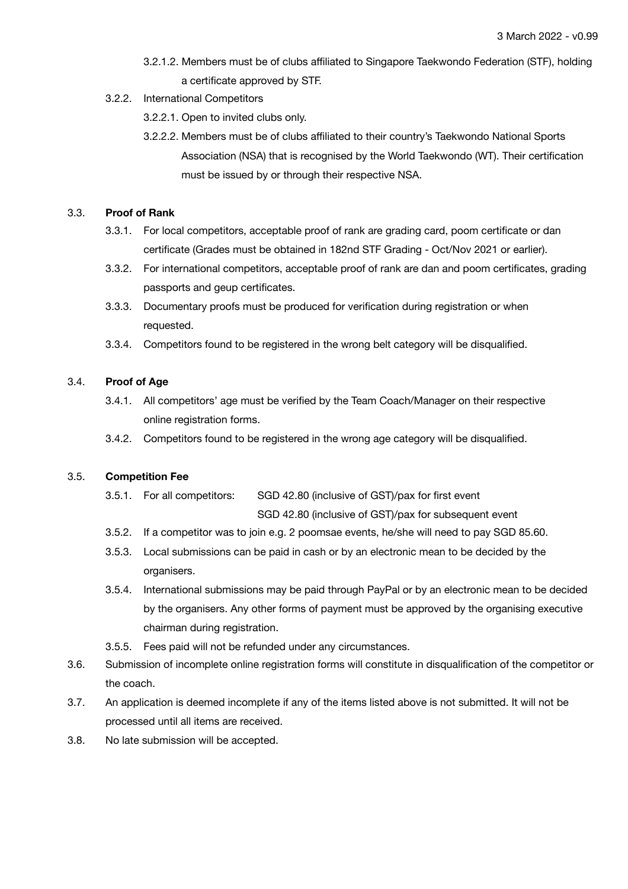- 3.2.1.2. Members must be of clubs affiliated to Singapore Taekwondo Federation (STF), holding a certificate approved by STF.
- 3.2.2. International Competitors
	- 3.2.2.1. Open to invited clubs only.
	- 3.2.2.2. Members must be of clubs affiliated to their country's Taekwondo National Sports Association (NSA) that is recognised by the World Taekwondo (WT). Their certification must be issued by or through their respective NSA.

## 3.3. **Proof of Rank**

- 3.3.1. For local competitors, acceptable proof of rank are grading card, poom certificate or dan certificate (Grades must be obtained in 182nd STF Grading - Oct/Nov 2021 or earlier).
- 3.3.2. For international competitors, acceptable proof of rank are dan and poom certificates, grading passports and geup certificates.
- 3.3.3. Documentary proofs must be produced for verification during registration or when requested.
- 3.3.4. Competitors found to be registered in the wrong belt category will be disqualified.

## 3.4. **Proof of Age**

- 3.4.1. All competitors' age must be verified by the Team Coach/Manager on their respective online registration forms.
- 3.4.2. Competitors found to be registered in the wrong age category will be disqualified.

## 3.5. **Competition Fee**

- 3.5.1. For all competitors: SGD 42.80 (inclusive of GST)/pax for first event SGD 42.80 (inclusive of GST)/pax for subsequent event
- 3.5.2. If a competitor was to join e.g. 2 poomsae events, he/she will need to pay SGD 85.60.
- 3.5.3. Local submissions can be paid in cash or by an electronic mean to be decided by the organisers.
- 3.5.4. International submissions may be paid through PayPal or by an electronic mean to be decided by the organisers. Any other forms of payment must be approved by the organising executive chairman during registration.
- 3.5.5. Fees paid will not be refunded under any circumstances.
- 3.6. Submission of incomplete online registration forms will constitute in disqualification of the competitor or the coach.
- 3.7. An application is deemed incomplete if any of the items listed above is not submitted. It will not be processed until all items are received.
- 3.8. No late submission will be accepted.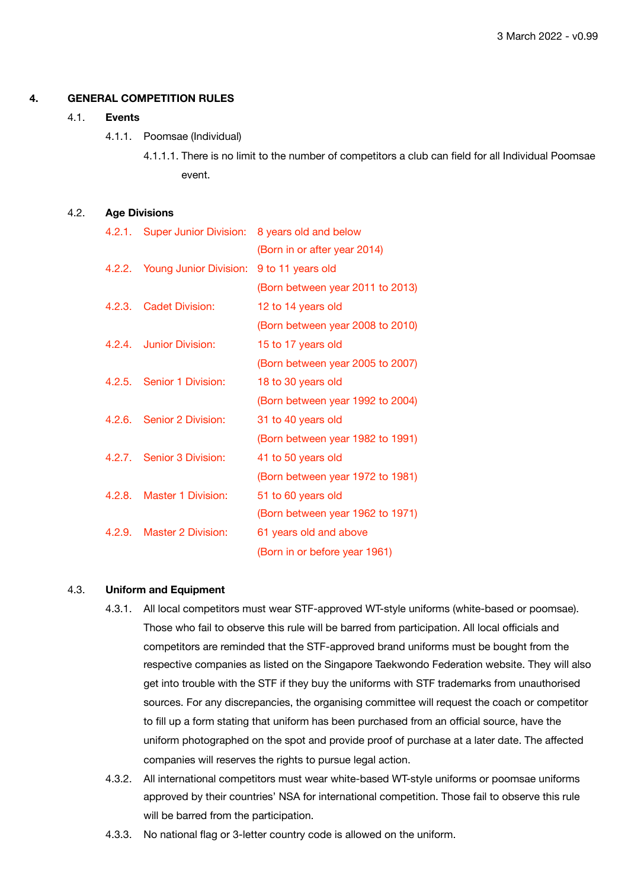#### **4. GENERAL COMPETITION RULES**

#### 4.1. **Events**

- 4.1.1. Poomsae (Individual)
	- 4.1.1.1. There is no limit to the number of competitors a club can field for all Individual Poomsae event.

#### 4.2. **Age Divisions**

|        | 4.2.1. Super Junior Division: | 8 years old and below            |
|--------|-------------------------------|----------------------------------|
|        |                               | (Born in or after year 2014)     |
|        | 4.2.2. Young Junior Division: | 9 to 11 years old                |
|        |                               | (Born between year 2011 to 2013) |
| 4.2.3. | <b>Cadet Division:</b>        | 12 to 14 years old               |
|        |                               | (Born between year 2008 to 2010) |
|        | 4.2.4. Junior Division:       | 15 to 17 years old               |
|        |                               | (Born between year 2005 to 2007) |
| 4.2.5. | Senior 1 Division:            | 18 to 30 years old               |
|        |                               | (Born between year 1992 to 2004) |
| 4.2.6. | Senior 2 Division:            | 31 to 40 years old               |
|        |                               | (Born between year 1982 to 1991) |
|        | 4.2.7. Senior 3 Division:     | 41 to 50 years old               |
|        |                               | (Born between year 1972 to 1981) |
| 4.2.8. | <b>Master 1 Division:</b>     | 51 to 60 years old               |
|        |                               | (Born between year 1962 to 1971) |
| 4.2.9. | <b>Master 2 Division:</b>     | 61 years old and above           |
|        |                               | (Born in or before year 1961)    |

#### 4.3. **Uniform and Equipment**

- 4.3.1. All local competitors must wear STF-approved WT-style uniforms (white-based or poomsae). Those who fail to observe this rule will be barred from participation. All local officials and competitors are reminded that the STF-approved brand uniforms must be bought from the respective companies as listed on the Singapore Taekwondo Federation website. They will also get into trouble with the STF if they buy the uniforms with STF trademarks from unauthorised sources. For any discrepancies, the organising committee will request the coach or competitor to fill up a form stating that uniform has been purchased from an official source, have the uniform photographed on the spot and provide proof of purchase at a later date. The affected companies will reserves the rights to pursue legal action.
- 4.3.2. All international competitors must wear white-based WT-style uniforms or poomsae uniforms approved by their countries' NSA for international competition. Those fail to observe this rule will be barred from the participation.
- 4.3.3. No national flag or 3-letter country code is allowed on the uniform.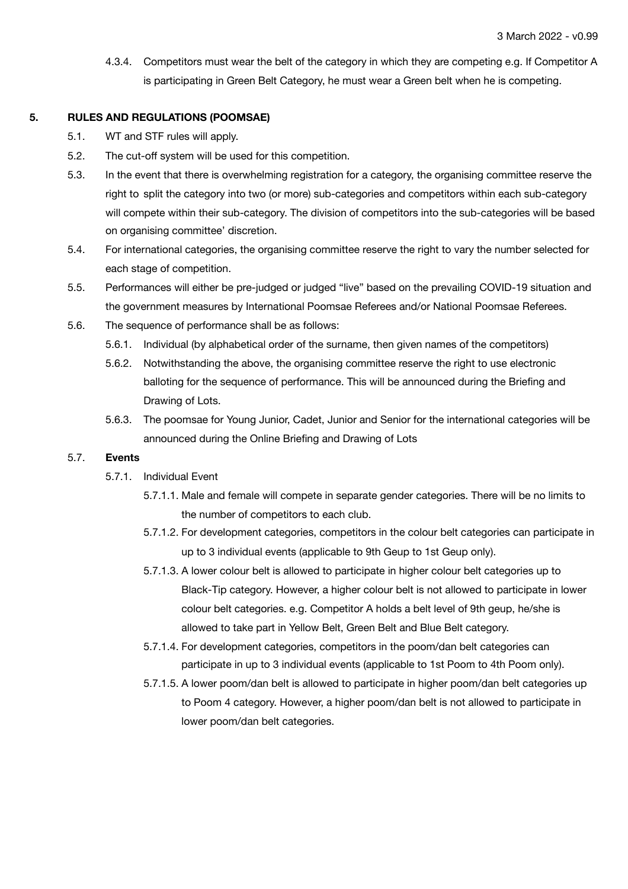4.3.4. Competitors must wear the belt of the category in which they are competing e.g. If Competitor A is participating in Green Belt Category, he must wear a Green belt when he is competing.

#### **5. RULES AND REGULATIONS (POOMSAE)**

- 5.1. WT and STF rules will apply.
- 5.2. The cut-off system will be used for this competition.
- 5.3. In the event that there is overwhelming registration for a category, the organising committee reserve the right to split the category into two (or more) sub-categories and competitors within each sub-category will compete within their sub-category. The division of competitors into the sub-categories will be based on organising committee' discretion.
- 5.4. For international categories, the organising committee reserve the right to vary the number selected for each stage of competition.
- 5.5. Performances will either be pre-judged or judged "live" based on the prevailing COVID-19 situation and the government measures by International Poomsae Referees and/or National Poomsae Referees.
- 5.6. The sequence of performance shall be as follows:
	- 5.6.1. Individual (by alphabetical order of the surname, then given names of the competitors)
	- 5.6.2. Notwithstanding the above, the organising committee reserve the right to use electronic balloting for the sequence of performance. This will be announced during the Briefing and Drawing of Lots.
	- 5.6.3. The poomsae for Young Junior, Cadet, Junior and Senior for the international categories will be announced during the Online Briefing and Drawing of Lots

#### 5.7. **Events**

- 5.7.1. Individual Event
	- 5.7.1.1. Male and female will compete in separate gender categories. There will be no limits to the number of competitors to each club.
	- 5.7.1.2. For development categories, competitors in the colour belt categories can participate in up to 3 individual events (applicable to 9th Geup to 1st Geup only).
	- 5.7.1.3. A lower colour belt is allowed to participate in higher colour belt categories up to Black-Tip category. However, a higher colour belt is not allowed to participate in lower colour belt categories. e.g. Competitor A holds a belt level of 9th geup, he/she is allowed to take part in Yellow Belt, Green Belt and Blue Belt category.
	- 5.7.1.4. For development categories, competitors in the poom/dan belt categories can participate in up to 3 individual events (applicable to 1st Poom to 4th Poom only).
	- 5.7.1.5. A lower poom/dan belt is allowed to participate in higher poom/dan belt categories up to Poom 4 category. However, a higher poom/dan belt is not allowed to participate in lower poom/dan belt categories.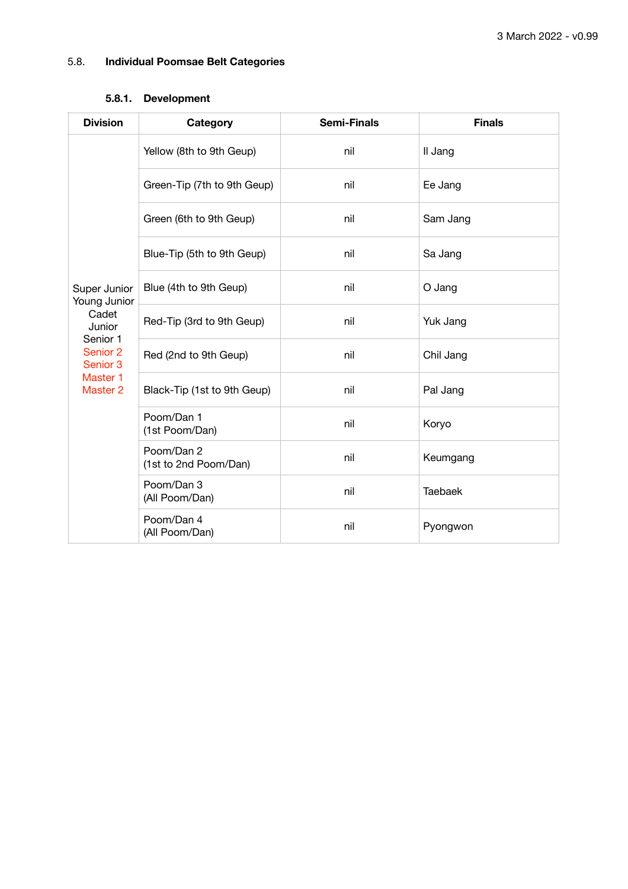## 5.8. **Individual Poomsae Belt Categories**

## **5.8.1. Development**

| <b>Division</b>                                                                                                        | Category                            | <b>Semi-Finals</b> | <b>Finals</b>  |
|------------------------------------------------------------------------------------------------------------------------|-------------------------------------|--------------------|----------------|
| Super Junior<br>Young Junior<br>Cadet<br>Junior<br>Senior 1<br>Senior 2<br>Senior 3<br>Master 1<br>Master <sub>2</sub> | Yellow (8th to 9th Geup)            | nil                | Il Jang        |
|                                                                                                                        | Green-Tip (7th to 9th Geup)         | nil                | Ee Jang        |
|                                                                                                                        | Green (6th to 9th Geup)             | nil                | Sam Jang       |
|                                                                                                                        | Blue-Tip (5th to 9th Geup)          | nil                | Sa Jang        |
|                                                                                                                        | Blue (4th to 9th Geup)              | nil                | O Jang         |
|                                                                                                                        | Red-Tip (3rd to 9th Geup)           | nil                | Yuk Jang       |
|                                                                                                                        | Red (2nd to 9th Geup)               | nil                | Chil Jang      |
|                                                                                                                        | Black-Tip (1st to 9th Geup)         | nil                | Pal Jang       |
|                                                                                                                        | Poom/Dan 1<br>(1st Poom/Dan)        | nil                | Koryo          |
|                                                                                                                        | Poom/Dan 2<br>(1st to 2nd Poom/Dan) | nil                | Keumgang       |
|                                                                                                                        | Poom/Dan 3<br>(All Poom/Dan)        | nil                | <b>Taebaek</b> |
|                                                                                                                        | Poom/Dan 4<br>(All Poom/Dan)        | nil                | Pyongwon       |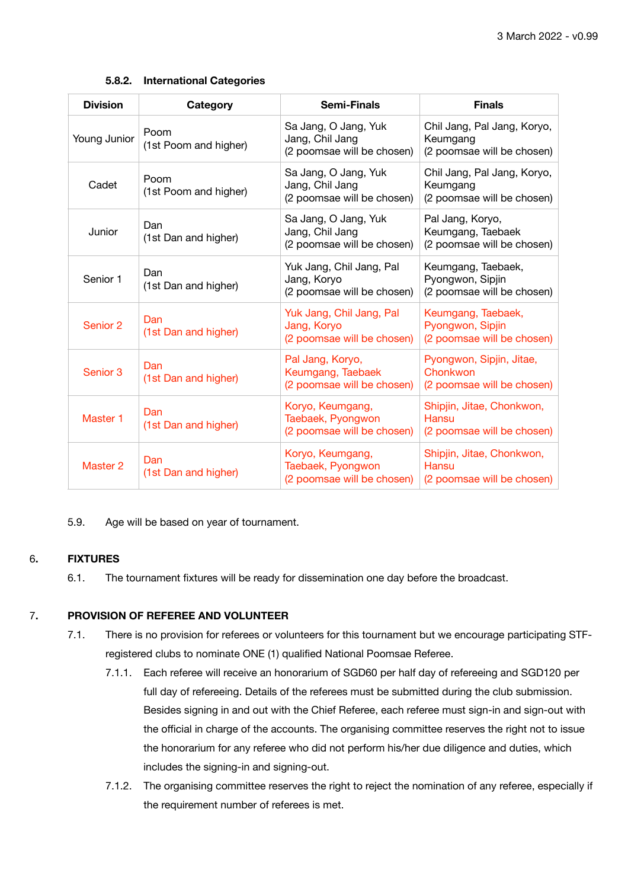### **5.8.2. International Categories**

| <b>Division</b> | Category                      | <b>Semi-Finals</b>                                                    | <b>Finals</b>                                                         |
|-----------------|-------------------------------|-----------------------------------------------------------------------|-----------------------------------------------------------------------|
| Young Junior    | Poom<br>(1st Poom and higher) | Sa Jang, O Jang, Yuk<br>Jang, Chil Jang<br>(2 poomsae will be chosen) | Chil Jang, Pal Jang, Koryo,<br>Keumgang<br>(2 poomsae will be chosen) |
| Cadet           | Poom<br>(1st Poom and higher) | Sa Jang, O Jang, Yuk<br>Jang, Chil Jang<br>(2 poomsae will be chosen) | Chil Jang, Pal Jang, Koryo,<br>Keumgang<br>(2 poomsae will be chosen) |
| Junior          | Dan<br>(1st Dan and higher)   | Sa Jang, O Jang, Yuk<br>Jang, Chil Jang<br>(2 poomsae will be chosen) | Pal Jang, Koryo,<br>Keumgang, Taebaek<br>(2 poomsae will be chosen)   |
| Senior 1        | Dan<br>(1st Dan and higher)   | Yuk Jang, Chil Jang, Pal<br>Jang, Koryo<br>(2 poomsae will be chosen) | Keumgang, Taebaek,<br>Pyongwon, Sipjin<br>(2 poomsae will be chosen)  |
| Senior 2        | Dan<br>(1st Dan and higher)   | Yuk Jang, Chil Jang, Pal<br>Jang, Koryo<br>(2 poomsae will be chosen) | Keumgang, Taebaek,<br>Pyongwon, Sipjin<br>(2 poomsae will be chosen)  |
| Senior 3        | Dan<br>(1st Dan and higher)   | Pal Jang, Koryo,<br>Keumgang, Taebaek<br>(2 poomsae will be chosen)   | Pyongwon, Sipjin, Jitae,<br>Chonkwon<br>(2 poomsae will be chosen)    |
| Master 1        | Dan<br>(1st Dan and higher)   | Koryo, Keumgang,<br>Taebaek, Pyongwon<br>(2 poomsae will be chosen)   | Shipjin, Jitae, Chonkwon,<br>Hansu<br>(2 poomsae will be chosen)      |
| Master 2        | Dan<br>(1st Dan and higher)   | Koryo, Keumgang,<br>Taebaek, Pyongwon<br>(2 poomsae will be chosen)   | Shipjin, Jitae, Chonkwon,<br>Hansu<br>(2 poomsae will be chosen)      |

5.9. Age will be based on year of tournament.

## 6**. FIXTURES**

6.1. The tournament fixtures will be ready for dissemination one day before the broadcast.

## 7**. PROVISION OF REFEREE AND VOLUNTEER**

- 7.1. There is no provision for referees or volunteers for this tournament but we encourage participating STFregistered clubs to nominate ONE (1) qualified National Poomsae Referee.
	- 7.1.1. Each referee will receive an honorarium of SGD60 per half day of refereeing and SGD120 per full day of refereeing. Details of the referees must be submitted during the club submission. Besides signing in and out with the Chief Referee, each referee must sign-in and sign-out with the official in charge of the accounts. The organising committee reserves the right not to issue the honorarium for any referee who did not perform his/her due diligence and duties, which includes the signing-in and signing-out.
	- 7.1.2. The organising committee reserves the right to reject the nomination of any referee, especially if the requirement number of referees is met.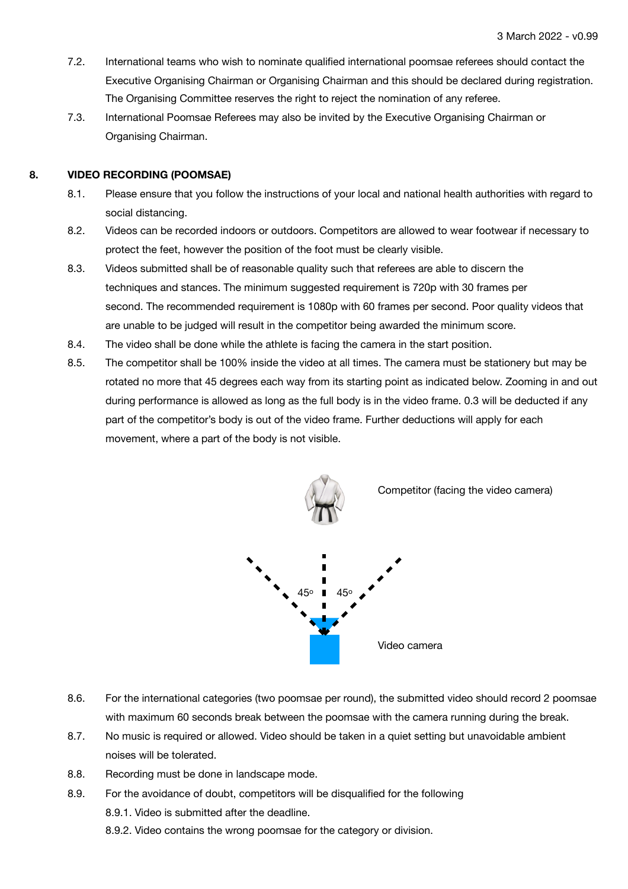- 7.2. International teams who wish to nominate qualified international poomsae referees should contact the Executive Organising Chairman or Organising Chairman and this should be declared during registration. The Organising Committee reserves the right to reject the nomination of any referee.
- 7.3. International Poomsae Referees may also be invited by the Executive Organising Chairman or Organising Chairman.

## **8. VIDEO RECORDING (POOMSAE)**

- 8.1. Please ensure that you follow the instructions of your local and national health authorities with regard to social distancing.
- 8.2. Videos can be recorded indoors or outdoors. Competitors are allowed to wear footwear if necessary to protect the feet, however the position of the foot must be clearly visible.
- 8.3. Videos submitted shall be of reasonable quality such that referees are able to discern the techniques and stances. The minimum suggested requirement is 720p with 30 frames per second. The recommended requirement is 1080p with 60 frames per second. Poor quality videos that are unable to be judged will result in the competitor being awarded the minimum score.
- 8.4. The video shall be done while the athlete is facing the camera in the start position.
- 8.5. The competitor shall be 100% inside the video at all times. The camera must be stationery but may be rotated no more that 45 degrees each way from its starting point as indicated below. Zooming in and out during performance is allowed as long as the full body is in the video frame. 0.3 will be deducted if any part of the competitor's body is out of the video frame. Further deductions will apply for each movement, where a part of the body is not visible.



- 8.6. For the international categories (two poomsae per round), the submitted video should record 2 poomsae with maximum 60 seconds break between the poomsae with the camera running during the break.
- 8.7. No music is required or allowed. Video should be taken in a quiet setting but unavoidable ambient noises will be tolerated.
- 8.8. Recording must be done in landscape mode.
- 8.9. For the avoidance of doubt, competitors will be disqualified for the following

 8.9.1. Video is submitted after the deadline.

 8.9.2. Video contains the wrong poomsae for the category or division.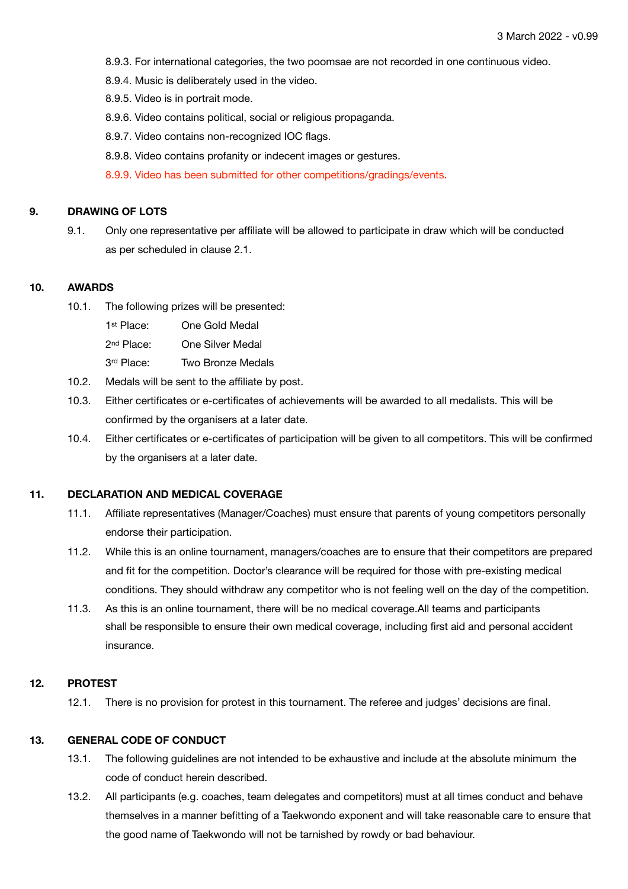- 8.9.3. For international categories, the two poomsae are not recorded in one continuous video.
- 8.9.4. Music is deliberately used in the video.
- 8.9.5. Video is in portrait mode.
- 8.9.6. Video contains political, social or religious propaganda.
- 8.9.7. Video contains non-recognized IOC flags.
- 8.9.8. Video contains profanity or indecent images or gestures.
- 8.9.9. Video has been submitted for other competitions/gradings/events.

### **9. DRAWING OF LOTS**

9.1. Only one representative per affiliate will be allowed to participate in draw which will be conducted as per scheduled in clause 2.1.

#### **10. AWARDS**

- 10.1. The following prizes will be presented:
	- 1st Place: One Gold Medal
	- 2nd Place: One Silver Medal
	- 3<sup>rd</sup> Place: Two Bronze Medals
- 10.2. Medals will be sent to the affiliate by post.
- 10.3. Either certificates or e-certificates of achievements will be awarded to all medalists. This will be confirmed by the organisers at a later date.
- 10.4. Either certificates or e-certificates of participation will be given to all competitors. This will be confirmed by the organisers at a later date.

## **11. DECLARATION AND MEDICAL COVERAGE**

- 11.1. Affiliate representatives (Manager/Coaches) must ensure that parents of young competitors personally endorse their participation.
- 11.2. While this is an online tournament, managers/coaches are to ensure that their competitors are prepared and fit for the competition. Doctor's clearance will be required for those with pre-existing medical conditions. They should withdraw any competitor who is not feeling well on the day of the competition.
- 11.3. As this is an online tournament, there will be no medical coverage.All teams and participants shall be responsible to ensure their own medical coverage, including first aid and personal accident insurance.

## **12. PROTEST**

12.1. There is no provision for protest in this tournament. The referee and judges' decisions are final.

## **13. GENERAL CODE OF CONDUCT**

- 13.1. The following guidelines are not intended to be exhaustive and include at the absolute minimum the code of conduct herein described.
- 13.2. All participants (e.g. coaches, team delegates and competitors) must at all times conduct and behave themselves in a manner befitting of a Taekwondo exponent and will take reasonable care to ensure that the good name of Taekwondo will not be tarnished by rowdy or bad behaviour.